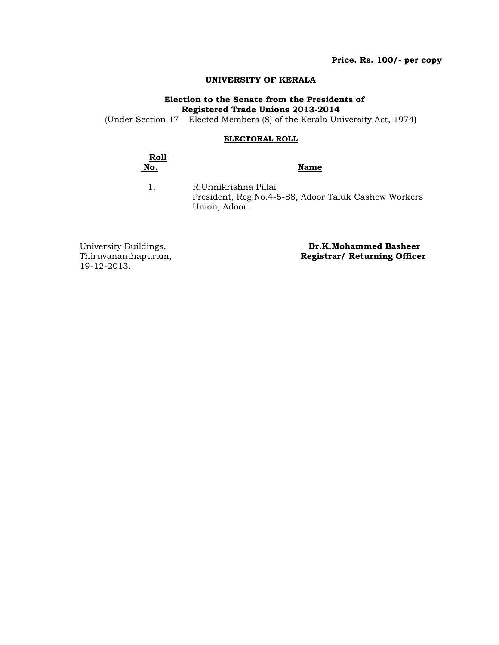#### **Price. Rs. 100/- per copy**

#### **UNIVERSITY OF KERALA**

### **Election to the Senate from the Presidents of Registered Trade Unions 2013-2014**

(Under Section 17 – Elected Members (8) of the Kerala University Act, 1974)

#### **ELECTORAL ROLL**

# **Roll**

 **No. Name**

1. R.Unnikrishna Pillai President, Reg.No.4-5-88, Adoor Taluk Cashew Workers Union, Adoor.

19-12-2013.

University Buildings, **Dr.K.Mohammed Basheer**  Thiruvananthapuram, **Registrar/ Returning Officer**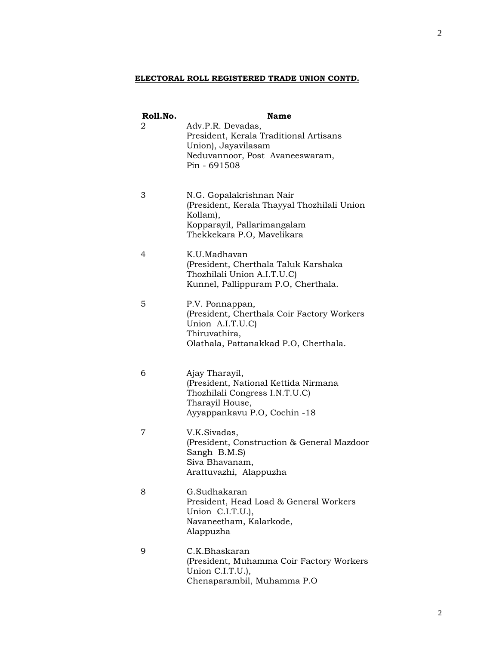## **ELECTORAL ROLL REGISTERED TRADE UNION CONTD.**

| Roll.No. | <b>Name</b>                                                                                                                                      |
|----------|--------------------------------------------------------------------------------------------------------------------------------------------------|
| 2        | Adv.P.R. Devadas,<br>President, Kerala Traditional Artisans<br>Union), Jayavilasam<br>Neduvannoor, Post Avaneeswaram,<br>Pin - 691508            |
| 3        | N.G. Gopalakrishnan Nair<br>(President, Kerala Thayyal Thozhilali Union<br>Kollam),<br>Kopparayil, Pallarimangalam<br>Thekkekara P.O, Mavelikara |
| 4        | K.U.Madhavan<br>(President, Cherthala Taluk Karshaka<br>Thozhilali Union A.I.T.U.C)<br>Kunnel, Pallippuram P.O, Cherthala.                       |
| 5        | P.V. Ponnappan,<br>(President, Cherthala Coir Factory Workers<br>Union A.I.T.U.C)<br>Thiruvathira,<br>Olathala, Pattanakkad P.O, Cherthala.      |
| 6        | Ajay Tharayil,<br>(President, National Kettida Nirmana<br>Thozhilali Congress I.N.T.U.C)<br>Tharayil House,<br>Ayyappankavu P.O, Cochin -18      |
| 7        | V.K.Sivadas,<br>(President, Construction & General Mazdoor)<br>Sangh B.M.S)<br>Siva Bhavanam,<br>Arattuvazhi, Alappuzha                          |
| 8        | G.Sudhakaran<br>President, Head Load & General Workers<br>Union C.I.T.U.),<br>Navaneetham, Kalarkode,<br>Alappuzha                               |
| 9        | C.K.Bhaskaran<br>(President, Muhamma Coir Factory Workers<br>Union C.I.T.U.),<br>Chenaparambil, Muhamma P.O                                      |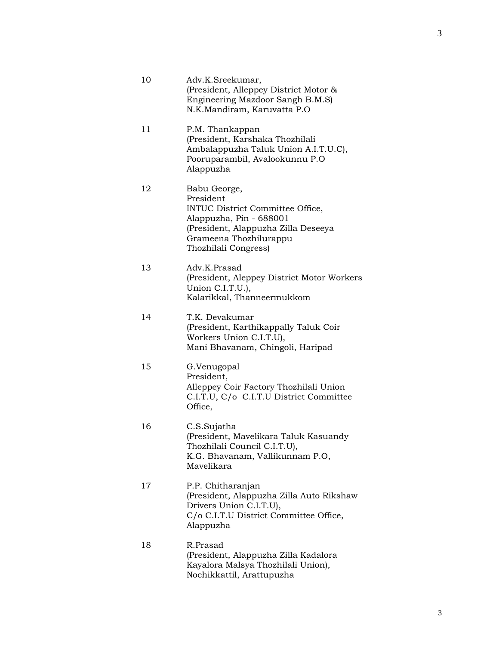| 10 | Adv.K.Sreekumar,<br>(President, Alleppey District Motor &<br>Engineering Mazdoor Sangh B.M.S)<br>N.K.Mandiram, Karuvatta P.O                                                      |
|----|-----------------------------------------------------------------------------------------------------------------------------------------------------------------------------------|
| 11 | P.M. Thankappan<br>(President, Karshaka Thozhilali<br>Ambalappuzha Taluk Union A.I.T.U.C),<br>Pooruparambil, Avalookunnu P.O<br>Alappuzha                                         |
| 12 | Babu George,<br>President<br>INTUC District Committee Office,<br>Alappuzha, Pin - 688001<br>(President, Alappuzha Zilla Deseeya<br>Grameena Thozhilurappu<br>Thozhilali Congress) |
| 13 | Adv.K.Prasad<br>(President, Aleppey District Motor Workers<br>Union C.I.T.U.),<br>Kalarikkal, Thanneermukkom                                                                      |
| 14 | T.K. Devakumar<br>(President, Karthikappally Taluk Coir<br>Workers Union C.I.T.U),<br>Mani Bhavanam, Chingoli, Haripad                                                            |
| 15 | G.Venugopal<br>President,<br>Alleppey Coir Factory Thozhilali Union<br>C.I.T.U, C/o C.I.T.U District Committee<br>Office,                                                         |
| 16 | C.S.Sujatha<br>(President, Mavelikara Taluk Kasuandy<br>Thozhilali Council C.I.T.U),<br>K.G. Bhavanam, Vallikunnam P.O,<br>Mavelikara                                             |
| 17 | P.P. Chitharanjan<br>(President, Alappuzha Zilla Auto Rikshaw<br>Drivers Union C.I.T.U),<br>C/o C.I.T.U District Committee Office,<br>Alappuzha                                   |
| 18 | R.Prasad<br>(President, Alappuzha Zilla Kadalora<br>Kayalora Malsya Thozhilali Union),                                                                                            |

Nochikkattil, Arattupuzha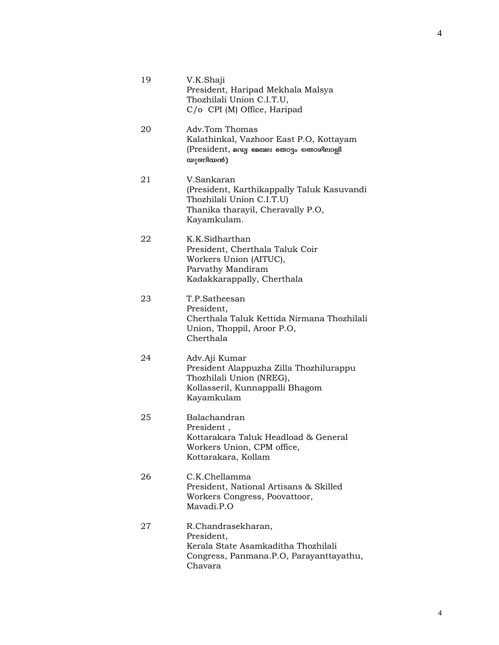| 19 | V.K.Shaji<br>President, Haripad Mekhala Malsya<br>Thozhilali Union C.I.T.U,<br>C/o CPI (M) Office, Haripad                                |
|----|-------------------------------------------------------------------------------------------------------------------------------------------|
| 20 | Adv.Tom Thomas<br>Kalathinkal, Vazhoor East P.O, Kottayam<br>(President, a cu ) வேவ கலை வைசிய ஜி<br>യൂണിയൻ)                               |
| 21 | V.Sankaran<br>(President, Karthikappally Taluk Kasuvandi<br>Thozhilali Union C.I.T.U)<br>Thanika tharayil, Cheravally P.O,<br>Kayamkulam. |
| 22 | K.K.Sidharthan<br>President, Cherthala Taluk Coir<br>Workers Union (AITUC),<br>Parvathy Mandiram<br>Kadakkarappally, Cherthala            |
| 23 | T.P.Satheesan<br>President,<br>Cherthala Taluk Kettida Nirmana Thozhilali<br>Union, Thoppil, Aroor P.O,<br>Cherthala                      |
| 24 | Adv.Aji Kumar<br>President Alappuzha Zilla Thozhilurappu<br>Thozhilali Union (NREG),<br>Kollasseril, Kunnappalli Bhagom<br>Kayamkulam     |
| 25 | Balachandran<br>President,<br>Kottarakara Taluk Headload & General<br>Workers Union, CPM office,<br>Kottarakara, Kollam                   |
| 26 | C.K.Chellamma<br>President, National Artisans & Skilled<br>Workers Congress, Poovattoor,<br>Mavadi.P.O                                    |
| 27 | R.Chandrasekharan,<br>President,<br>Kerala State Asamkaditha Thozhilali<br>Congress, Panmana.P.O, Parayanttayathu,<br>Chavara             |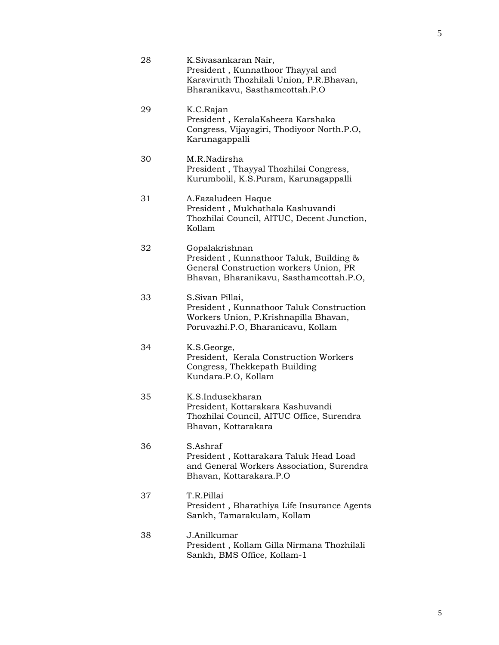| 28 | K.Sivasankaran Nair,<br>President, Kunnathoor Thayyal and<br>Karaviruth Thozhilali Union, P.R.Bhavan,<br>Bharanikavu, Sasthamcottah.P.O        |
|----|------------------------------------------------------------------------------------------------------------------------------------------------|
| 29 | K.C.Rajan<br>President, KeralaKsheera Karshaka<br>Congress, Vijayagiri, Thodiyoor North.P.O,<br>Karunagappalli                                 |
| 30 | M.R.Nadirsha<br>President, Thayyal Thozhilai Congress,<br>Kurumbolil, K.S.Puram, Karunagappalli                                                |
| 31 | A.Fazaludeen Haque<br>President, Mukhathala Kashuvandi<br>Thozhilai Council, AITUC, Decent Junction,<br>Kollam                                 |
| 32 | Gopalakrishnan<br>President, Kunnathoor Taluk, Building &<br>General Construction workers Union, PR<br>Bhavan, Bharanikavu, Sasthamcottah.P.O, |
| 33 | S.Sivan Pillai,<br>President, Kunnathoor Taluk Construction<br>Workers Union, P.Krishnapilla Bhavan,<br>Poruvazhi.P.O, Bharanicavu, Kollam     |
| 34 | K.S.George,<br>President, Kerala Construction Workers<br>Congress, Thekkepath Building<br>Kundara.P.O, Kollam                                  |
| 35 | K.S.Indusekharan<br>President, Kottarakara Kashuvandi<br>Thozhilai Council, AITUC Office, Surendra<br>Bhavan, Kottarakara                      |
| 36 | S.Ashraf<br>President, Kottarakara Taluk Head Load<br>and General Workers Association, Surendra<br>Bhavan, Kottarakara.P.O                     |
| 37 | T.R.Pillai<br>President, Bharathiya Life Insurance Agents<br>Sankh, Tamarakulam, Kollam                                                        |
| 38 | J.Anilkumar<br>President, Kollam Gilla Nirmana Thozhilali<br>Sankh, BMS Office, Kollam-1                                                       |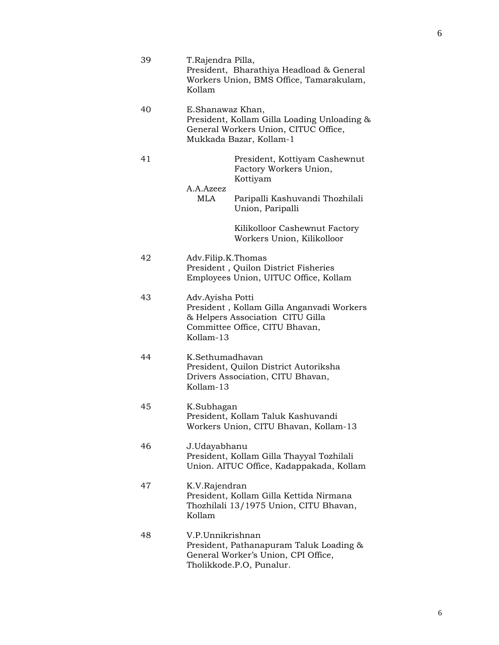| 39 | T.Rajendra Pilla,<br>Kollam                                                                                                        | President, Bharathiya Headload & General<br>Workers Union, BMS Office, Tamarakulam,                             |
|----|------------------------------------------------------------------------------------------------------------------------------------|-----------------------------------------------------------------------------------------------------------------|
| 40 | E.Shanawaz Khan,<br>President, Kollam Gilla Loading Unloading &<br>General Workers Union, CITUC Office,<br>Mukkada Bazar, Kollam-1 |                                                                                                                 |
| 41 |                                                                                                                                    | President, Kottiyam Cashewnut<br>Factory Workers Union,<br>Kottiyam                                             |
|    | A.A.Azeez<br>MLA                                                                                                                   | Paripalli Kashuvandi Thozhilali<br>Union, Paripalli                                                             |
|    |                                                                                                                                    | Kilikolloor Cashewnut Factory<br>Workers Union, Kilikolloor                                                     |
| 42 | Adv.Filip.K.Thomas                                                                                                                 | President, Quilon District Fisheries<br>Employees Union, UITUC Office, Kollam                                   |
| 43 | Adv.Ayisha Potti<br>Kollam-13                                                                                                      | President, Kollam Gilla Anganvadi Workers<br>& Helpers Association CITU Gilla<br>Committee Office, CITU Bhavan, |
| 44 | K.Sethumadhavan<br>Kollam-13                                                                                                       | President, Quilon District Autoriksha<br>Drivers Association, CITU Bhavan,                                      |
| 45 | K.Subhagan                                                                                                                         | President, Kollam Taluk Kashuvandi<br>Workers Union, CITU Bhavan, Kollam-13                                     |
| 46 | J.Udayabhanu<br>President, Kollam Gilla Thayyal Tozhilali<br>Union. AITUC Office, Kadappakada, Kollam                              |                                                                                                                 |
| 47 | K.V.Rajendran<br>President, Kollam Gilla Kettida Nirmana<br>Thozhilali 13/1975 Union, CITU Bhavan,<br>Kollam                       |                                                                                                                 |
| 48 | V.P.Unnikrishnan                                                                                                                   | President, Pathanapuram Taluk Loading &<br>General Worker's Union, CPI Office,<br>Tholikkode.P.O, Punalur.      |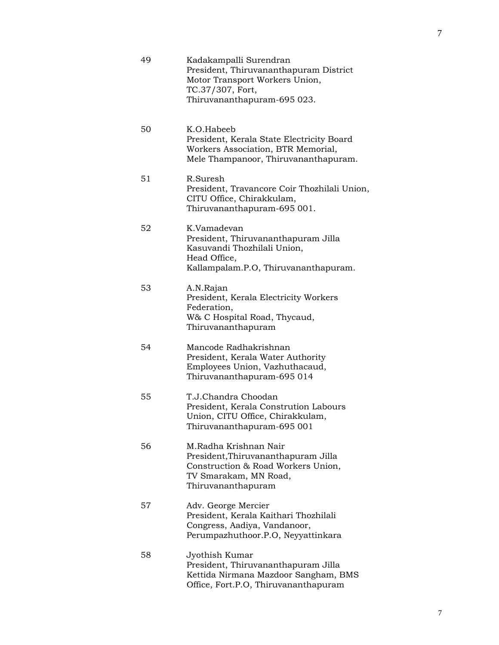| 49 | Kadakampalli Surendran<br>President, Thiruvananthapuram District<br>Motor Transport Workers Union,<br>TC.37/307, Fort,<br>Thiruvananthapuram-695 023. |
|----|-------------------------------------------------------------------------------------------------------------------------------------------------------|
| 50 | K.O.Habeeb<br>President, Kerala State Electricity Board<br>Workers Association, BTR Memorial,<br>Mele Thampanoor, Thiruvananthapuram.                 |
| 51 | R.Suresh<br>President, Travancore Coir Thozhilali Union,<br>CITU Office, Chirakkulam,<br>Thiruvananthapuram-695 001.                                  |
| 52 | K.Vamadevan<br>President, Thiruvananthapuram Jilla<br>Kasuvandi Thozhilali Union,<br>Head Office,<br>Kallampalam.P.O, Thiruvananthapuram.             |
| 53 | A.N.Rajan<br>President, Kerala Electricity Workers<br>Federation,<br>W& C Hospital Road, Thycaud,<br>Thiruvananthapuram                               |
| 54 | Mancode Radhakrishnan<br>President, Kerala Water Authority<br>Employees Union, Vazhuthacaud,<br>Thiruvananthapuram-695 014                            |
| 55 | T.J.Chandra Choodan<br>President, Kerala Constrution Labours<br>Union, CITU Office, Chirakkulam,<br>Thiruvananthapuram-695 001                        |
| 56 | M.Radha Krishnan Nair<br>President, Thiruvananthapuram Jilla<br>Construction & Road Workers Union,<br>TV Smarakam, MN Road,<br>Thiruvananthapuram     |
| 57 | Adv. George Mercier<br>President, Kerala Kaithari Thozhilali<br>Congress, Aadiya, Vandanoor,<br>Perumpazhuthoor.P.O, Neyyattinkara                    |
| 58 | Jyothish Kumar<br>President, Thiruvananthapuram Jilla<br>Kettida Nirmana Mazdoor Sangham, BMS<br>Office, Fort.P.O, Thiruvananthapuram                 |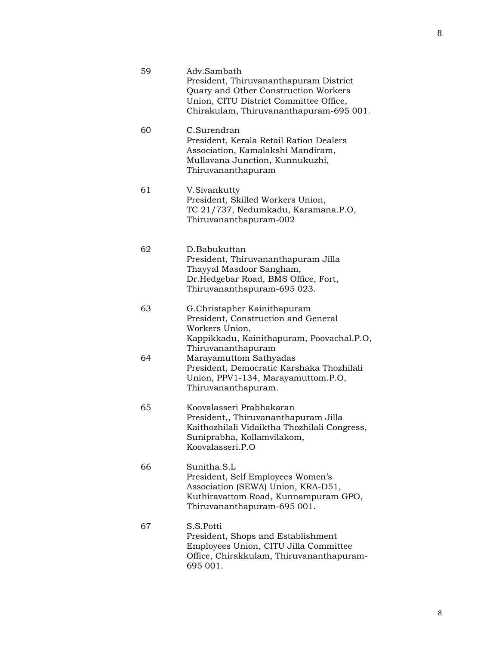| 59 | Adv.Sambath<br>President, Thiruvananthapuram District<br>Quary and Other Construction Workers<br>Union, CITU District Committee Office,<br>Chirakulam, Thiruvananthapuram-695 001. |
|----|------------------------------------------------------------------------------------------------------------------------------------------------------------------------------------|
| 60 | C.Surendran<br>President, Kerala Retail Ration Dealers<br>Association, Kamalakshi Mandiram,<br>Mullavana Junction, Kunnukuzhi,<br>Thiruvananthapuram                               |
| 61 | V.Sivankutty<br>President, Skilled Workers Union,<br>TC 21/737, Nedumkadu, Karamana.P.O,<br>Thiruvananthapuram-002                                                                 |
| 62 | D.Babukuttan<br>President, Thiruvananthapuram Jilla<br>Thayyal Masdoor Sangham,<br>Dr.Hedgebar Road, BMS Office, Fort,<br>Thiruvananthapuram-695 023.                              |
| 63 | G.Christapher Kainithapuram<br>President, Construction and General<br>Workers Union,<br>Kappikkadu, Kainithapuram, Poovachal.P.O,<br>Thiruvananthapuram                            |
| 64 | Marayamuttom Sathyadas<br>President, Democratic Karshaka Thozhilali<br>Union, PPV1-134, Marayamuttom.P.O,<br>Thiruvananthapuram.                                                   |
| 65 | Koovalasseri Prabhakaran<br>President,, Thiruvananthapuram Jilla<br>Kaithozhilali Vidaiktha Thozhilali Congress,<br>Suniprabha, Kollamvilakom,<br>Koovalasseri.P.O                 |
| 66 | Sunitha.S.L<br>President, Self Employees Women's<br>Association (SEWA) Union, KRA-D51,<br>Kuthiravattom Road, Kunnampuram GPO,<br>Thiruvananthapuram-695 001.                      |
| 67 | S.S.Potti<br>President, Shops and Establishment<br>Employees Union, CITU Jilla Committee<br>Office, Chirakkulam, Thiruvananthapuram-<br>695 001.                                   |